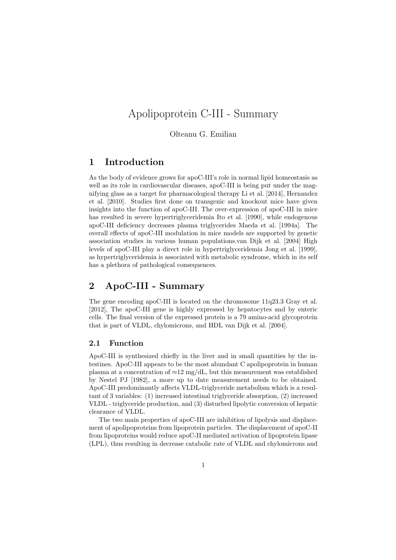# Apolipoprotein C-III - Summary

Olteanu G. Emilian

## 1 Introduction

As the body of evidence grows for apoC-III's role in normal lipid homeostasis as well as its role in cardiovascular diseases, apoC-III is being put under the magnifying glass as a target for pharmacological therapy Li et al. [2014], Hernandez et al. [2010]. Studies first done on transgenic and knockout mice have given insights into the function of apoC-III. The over-expression of apoC-III in mice has resulted in severe hypertriglyceridemia Ito et al. [1990], while endogenous apoC-III deficiency decreases plasma triglycerides Maeda et al. [1994a]. The overall effects of apoC-III modulation in mice models are supported by genetic association studies in various human populations.van Dijk et al. [2004] High levels of apoC-III play a direct role in hypertriglyceridemia Jong et al. [1999], as hypertriglyceridemia is associated with metabolic syndrome, which in its self has a plethora of pathological consequences.

# 2 ApoC-III - Summary

The gene encoding apoC-III is located on the chromosome 11q23.3 Gray et al. [2012], The apoC-III gene is highly expressed by hepatocytes and by enteric cells. The final version of the expressed protein is a 79 amino-acid glycoprotein that is part of VLDL, chylomicrons, and HDL van Dijk et al. [2004].

#### 2.1 Function

ApoC-III is synthesized chiefly in the liver and in small quantities by the intestines. ApoC-III appears to be the most abundant C apolipoprotein in human plasma at a concentration of  $\approx$ 12 mg/dL, but this measurement was established by Nestel PJ [1982], a more up to date measurement needs to be obtained. ApoC-III predominantly affects VLDL-triglyceride metabolism which is a resultant of 3 variables: (1) increased intestinal triglyceride absorption, (2) increased VLDL - triglyceride production, and (3) disturbed lipolytic conversion of hepatic clearance of VLDL.

The two main properties of apoC-III are inhibition of lipolysis and displacement of apolipoproteins from lipoprotein particles. The displacement of apoC-II from lipoproteins would reduce apoC-II mediated activation of lipoprotein lipase (LPL), thus resulting in decrease catabolic rate of VLDL and chylomicrons and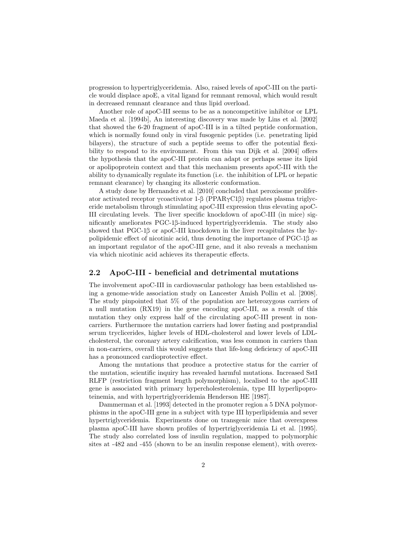progression to hypertriglyceridemia. Also, raised levels of apoC-III on the particle would displace apoE, a vital ligand for remnant removal, which would result in decreased remnant clearance and thus lipid overload.

Another role of apoC-III seems to be as a noncompetitive inhibitor or LPL Maeda et al. [1994b], An interesting discovery was made by Lins et al. [2002] that showed the 6-20 fragment of apoC-III is in a tilted peptide conformation, which is normally found only in viral fusogenic peptides (i.e. penetrating lipid bilayers), the structure of such a peptide seems to offer the potential flexibility to respond to its environment. From this van Dijk et al. [2004] offers the hypothesis that the apoC-III protein can adapt or perhaps sense its lipid or apolipoprotein context and that this mechanism presents apoC-III with the ability to dynamically regulate its function (i.e. the inhibition of LPL or hepatic remnant clearance) by changing its allosteric conformation.

A study done by Hernandez et al. [2010] concluded that peroxisome proliferator activated receptor γcoactivator 1-β (PPARγC1β) regulates plasma triglyceride metabolism through stimulating apoC-III expression thus elevating apoC-III circulating levels. The liver specific knockdown of apoC-III (in mice) significantly ameliorates PGC-1β-induced hypertriglyceridemia. The study also showed that PGC-1β or apoC-III knockdown in the liver recapitulates the hypolipidemic effect of nicotinic acid, thus denoting the importance of PGC-1β as an important regulator of the apoC-III gene, and it also reveals a mechanism via which nicotinic acid achieves its therapeutic effects.

#### 2.2 ApoC-III - beneficial and detrimental mutations

The involvement apoC-III in cardiovascular pathology has been established using a genome-wide association study on Lancester Amish Pollin et al. [2008]. The study pinpointed that 5% of the population are heterozygous carriers of a null mutation (RX19) in the gene encoding apoC-III, as a result of this mutation they only express half of the circulating apoC-III present in noncarriers. Furthermore the mutation carriers had lower fasting and postprandial serum tryclicerides, higher levels of HDL-cholesterol and lower levels of LDLcholesterol, the coronary artery calcification, was less common in carriers than in non-carriers, overall this would suggests that life-long deficiency of apoC-III has a pronounced cardioprotective effect.

Among the mutations that produce a protective status for the carrier of the mutation, scientific inquiry has revealed harmful mutations. Increased SstI RLFP (restriction fragment length polymorphism), localised to the apoC-III gene is associated with primary hypercholesterolemia, type III hyperlipoproteinemia, and with hypertriglyceridemia Henderson HE [1987].

Dammerman et al. [1993] detected in the promoter region a 5 DNA polymorphisms in the apoC-III gene in a subject with type III hyperlipidemia and sever hypertriglyceridemia. Experiments done on transgenic mice that overexpress plasma apoC-III have shown profiles of hypertriglyceridemia Li et al. [1995]. The study also correlated loss of insulin regulation, mapped to polymorphic sites at -482 and -455 (shown to be an insulin response element), with overex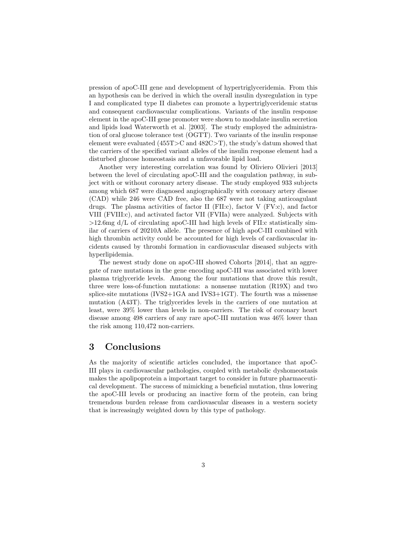pression of apoC-III gene and development of hypertriglyceridemia. From this an hypothesis can be derived in which the overall insulin dysregulation in type I and complicated type II diabetes can promote a hypertriglyceridemic status and consequent cardiovascular complications. Variants of the insulin response element in the apoC-III gene promoter were shown to modulate insulin secretion and lipids load Waterworth et al. [2003]. The study employed the administration of oral glucose tolerance test (OGTT). Two variants of the insulin response element were evaluated  $(455T>C and 482C>T)$ , the study's datum showed that the carriers of the specified variant alleles of the insulin response element had a disturbed glucose homeostasis and a unfavorable lipid load.

Another very interesting correlation was found by Oliviero Olivieri [2013] between the level of circulating apoC-III and the coagulation pathway, in subject with or without coronary artery disease. The study employed 933 subjects among which 687 were diagnosed angiographically with coronary artery disease (CAD) while 246 were CAD free, also the 687 were not taking anticoagulant drugs. The plasma activities of factor II (FII:c), factor V (FV:c), and factor VIII (FVIII:c), and activated factor VII (FVIIa) were analyzed. Subjects with >12.6mg d/L of circulating apoC-III had high levels of FII:c statistically similar of carriers of 20210A allele. The presence of high apoC-III combined with high thrombin activity could be accounted for high levels of cardiovascular incidents caused by thrombi formation in cardiovascular diseased subjects with hyperlipidemia.

The newest study done on apoC-III showed Cohorts [2014], that an aggregate of rare mutations in the gene encoding apoC-III was associated with lower plasma triglyceride levels. Among the four mutations that drove this result, three were loss-of-function mutations: a nonsense mutation (R19X) and two splice-site mutations (IVS2+1GA and IVS3+1GT). The fourth was a missense mutation (A43T). The triglycerides levels in the carriers of one mutation at least, were 39% lower than levels in non-carriers. The risk of coronary heart disease among 498 carriers of any rare apoC-III mutation was 46% lower than the risk among 110,472 non-carriers.

# 3 Conclusions

As the majority of scientific articles concluded, the importance that apoC-III plays in cardiovascular pathologies, coupled with metabolic dyshomeostasis makes the apolipoprotein a important target to consider in future pharmaceutical development. The success of mimicking a beneficial mutation, thus lowering the apoC-III levels or producing an inactive form of the protein, can bring tremendous burden release from cardiovascular diseases in a western society that is increasingly weighted down by this type of pathology.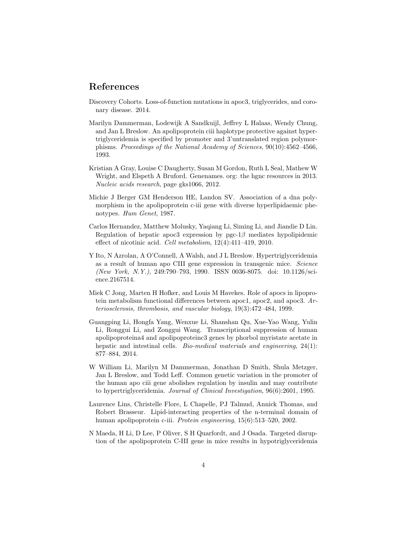### References

- Discovery Cohorts. Loss-of-function mutations in apoc3, triglycerides, and coronary disease. 2014.
- Marilyn Dammerman, Lodewijk A Sandkuijl, Jeffrey L Halaas, Wendy Chung, and Jan L Breslow. An apolipoprotein ciii haplotype protective against hypertriglyceridemia is specified by promoter and 3'untranslated region polymorphisms. Proceedings of the National Academy of Sciences, 90(10):4562–4566, 1993.
- Kristian A Gray, Louise C Daugherty, Susan M Gordon, Ruth L Seal, Mathew W Wright, and Elspeth A Bruford. Genenames. org: the hgnc resources in 2013. Nucleic acids research, page gks1066, 2012.
- Michie J Berger GM Henderson HE, Landon SV. Association of a dna polymorphism in the apolipoprotein c-iii gene with diverse hyperlipidaemic phenotypes. Hum Genet, 1987.
- Carlos Hernandez, Matthew Molusky, Yaqiang Li, Siming Li, and Jiandie D Lin. Regulation of hepatic apoc3 expression by pgc-1 $\beta$  mediates hypolipidemic effect of nicotinic acid. Cell metabolism, 12(4):411–419, 2010.
- Y Ito, N Azrolan, A O'Connell, A Walsh, and J L Breslow. Hypertriglyceridemia as a result of human apo CIII gene expression in transgenic mice. Science (New York, N.Y.), 249:790–793, 1990. ISSN 0036-8075. doi: 10.1126/science.2167514.
- Miek C Jong, Marten H Hofker, and Louis M Havekes. Role of apocs in lipoprotein metabolism functional differences between apoc1, apoc2, and apoc3. Arteriosclerosis, thrombosis, and vascular biology, 19(3):472–484, 1999.
- Guangping Li, Hongfa Yang, Wenxue Li, Shanshan Qu, Xue-Yao Wang, Yulin Li, Ronggui Li, and Zonggui Wang. Transcriptional suppression of human apolipoproteina4 and apolipoproteinc3 genes by phorbol myristate acetate in hepatic and intestinal cells. *Bio-medical materials and engineering*, 24(1): 877–884, 2014.
- W William Li, Marilyn M Dammerman, Jonathan D Smith, Shula Metzger, Jan L Breslow, and Todd Leff. Common genetic variation in the promoter of the human apo ciii gene abolishes regulation by insulin and may contribute to hypertriglyceridemia. Journal of Clinical Investigation, 96(6):2601, 1995.
- Laurence Lins, Christelle Flore, L Chapelle, PJ Talmud, Annick Thomas, and Robert Brasseur. Lipid-interacting properties of the n-terminal domain of human apolipoprotein c-iii. Protein engineering, 15(6):513–520, 2002.
- N Maeda, H Li, D Lee, P Oliver, S H Quarfordt, and J Osada. Targeted disruption of the apolipoprotein C-III gene in mice results in hypotriglyceridemia